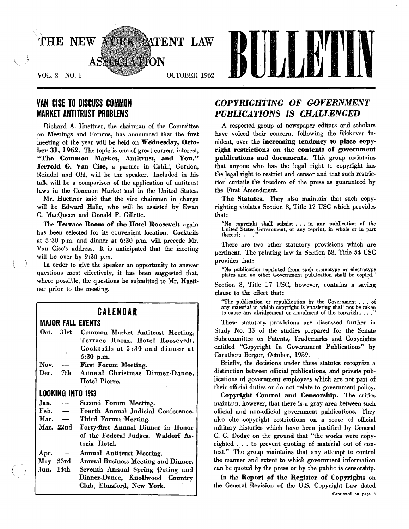

# VAN CISE TO DISCUSS COMMON MARKET ANTITRUST PROBLEMS

Richard A. Huettner, the chairman of the Committee on Meetings and Forums, has announced that the first meeting of the year will be held on Wednesday, October 31, 1962. The topic is one of great current interest, "The Common Market, Antitrust, and You." Jerrold G. Van Cise, a partner in Cahill, Gordon, Reindel and OhI, will be the speaker. Included in his talk will be a comparison of the application of antitrust laws in the Common Market and in the United States.

Mr. Huettner said that the vice chairman in charge will be Edward Halle, who will be assisted by Ewan C. MacQueen and Donald P. Gillette.

The Terrace Room of the Hotel Roosevelt again has been selected for its convenient location. Cocktails at 5:30 p.m. and dinner at 6:30 p.m. will precede Mr. Van Cise's address. It is anticipated that the meeting will be over by 9:30 p.m.

In order to give the speaker an opportunity to answer questions most effectively, it has been suggested that, where possible, the questions be submitted to Mr. Huettner prior to the meeting.

# CALENDAR

## **MAJOR FALL EVENTS**

- Oct. 31st Common Market Antitrust Meeting. Terrace Room, Hotel Roosevelt. Cocktails at 5 :30 and dinner at 6:30 p.m. Nov. — First Forum Meeting.
- Dec. 7th Annual Christmas Dinner-Dance, Hotel Pierre.

## LOOKING INTO 1963

| Jan. |  |  | Second Forum Meeting. |
|------|--|--|-----------------------|
|------|--|--|-----------------------|

- Feb.  $-$  Fourth Annual Judicial Conference.
- Mar. Third Forum Meeting.
- Mar. 22nd Forty-first Annual Dinner in Honor of the Federal Judges. Waldorf Astoria Hotel.
- Apr. Annual Antitrust Meeting.
- May 23rd Annual Business Meeting and Dinner.
- Jun. 14th Seventh Annual Spring Outing and Dinner-Dance, Knollwood Country Club, Elmsford, New York.

# *COPYRIGHTING* OF *GOVERNMENT PUBLICA.TIONS* IS *CHA.LLENGED*

A respected group of newspaper editors and scholars have voiced their concern, following the Rickover incident, over the increasing tendency to place copyright restrictions on the contents of government publications and documents. This group maintains that anyone who has the legal right to copyright has the legal right to restrict and censor and that such restriction curtails the freedom of the press as guaranteed by the First 'Amendment.

The Statutes. They also maintain that such copyrighting violates Section 8, Title 17 USC which provides that:

"No copyright shall subsist  $\ldots$  in any publication of the United States Government, or any reprint, in whole or in part thereof:  $\ldots$ ."

There are two other statutory provisions which are pertinent.. The printing law in Section 58, Title 54 USC provides that:

"No publication reprinted from such stereotype or electrotype plates and no other Governmerit publication shall be copied."

Section 8, Title 17 USC, however, contains a saving clause to the effect that:

"The publication or republication by the Government . . . of any material in which copyright is subsisting shall not be taken to cause any abridgement or annulment of the copyright ..•. "

These statutory provisions are discussed further in Study No. 33 of the studies prepared for the Senate Subcommittee on Patents, Trademarks and Copyrights entitled "Copyright In Government Publications" by Caruthers Berger, October, 1959.

Briefly, the decisions under these statutes recognize a distinction between official publications, and private publications of government employees which are not part of their official duties or do not relate to government policy.

Copyright Control and· Censorship. The critics maintain, however, that there is a gray area between such official and non-official government publications. They also cite copyright restrictions on a score of official military histories which have been justified by General C. G. Dodge on the ground that "the works were copyrighted • . . to prevent quoting of material out of context." The group maintains that any attempt to control the manner and extent to which government information can be quoted by the press or by the public iscensorship.

In the Report of the Register of Copyrights on the General Revision of the U.S. Copyright Law dated Continued on page 2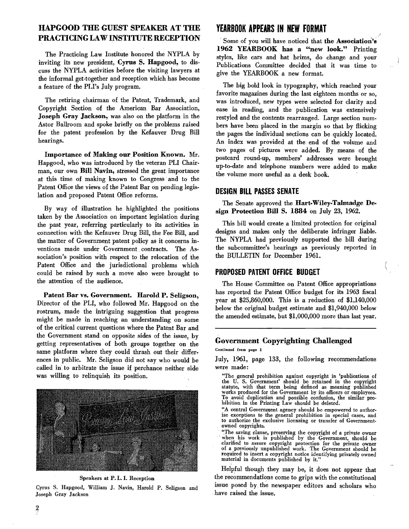# IlAPGOOD THE GUEST SPEAKER AT THE PRACTICING LAW INSTITUTE RECEPTION

The Practicing Law Institute honored the NYPLA by inviting its new president, Cyrus S. Hapgood, to discuss the NYPLA activities before the visiting lawyers at the informal get:together and reception which has become a feature of the PLI's July program.

The retiring chairman of the Patent, Trademark, and Copyright Section of the American Bar Association, Joseph Gray Jackson, was also on the platform in the Astor Ballroom and spoke briefly on the problems raised for the patent profession by the Kefauver Drug Bill hearings.

Importance of Making our Position Known. Mr. Hapgood, who was introduced by the veteran PLI Chair· man, our own Bill Navin, stressed the great importance at this time of making known to Congress' and to the Patent Office the views of the Patent Bar on pending legislation and proposed Patent Office reforms.

By way of illustration he highlighted the positions taken by the Association on important legislation during the past year, referring particularly to its activities in connection with the Kefauver Drug Bill, the Fee Bill, and the matter of Government patent policy as it concerns inventions made under Government, contracts. The As· sociation's position with respect to the relocation of the Patent Office and the jurisdictional problems which could be raised by such a move also were brought to the attention of the audience.

Patent Bar vs. Government. Harold P. Seligson, Director of the PLI, who followed Mr. Hapgood on the rostrum, made the intriguing suggestion that progress might be made in reaching an understanding on some of the critical current questions where the patent Bar and the Government stand on opposite sides of the issue, by getting representatives of both groups together on the same platform where they could thrash out their differences in public. Mr. Seligson did not say who would be called in to arbitrate the issue if perchance neither side was willing to relinquish its position.



Speakers at P. L. I. Reception

Cyrus S. Hapgood, William J. Navin, Harold P. Seligson and Joseph Gray Jackson

# **YEARBOOK** APPEARS IN **NEW FORMAT**

Some of you will have noticed that the Association's 1962 YEARBOOK has a "new look." Printing styles, like cars and hat brims, do change and your Publications Committee decided that it was time to give the YEARBOOK a new format.

The big bold look in typography, which reached your favorite magazines during the last eighteen months or so, was introduced, new types were selected for clarity and ease in reading, and the publication was extensively restyled and the contents rearranged. Large section numbers have heen placed in the margin so that by flicking the pages the individual sections can be quickly located. An index was provided at the end of the volume and two pages of pictures were added. By means of the postcard round.up, members' addresses were brought up-to-date and telephone numbers were added to make the volume more useful as a desk book.

## DESIGN BILL PASSES SENATE

The Senate approved the Hart-Wiley-Talmadge Design Protection Bill S. 1884 on July 23, 1962.

This bill would create a limited protection for original designs and makes only the deliberate infringer liable. The NYPLA had previously supported the bill during the subcommittee's hearings as previously reported in the BULLETIN for December 1961.

### PROPOSED PATENT OffiCE BUDGET

The House Committee on Patent Office appropriations has reported the Patent Office budget for its 1963 fiscal year at \$25,860,000. This is a reduction of \$1,140,000 below the original budget estimate and \$1,940,000 below the amended estimate, but \$1,000,000 more than last year.

# Government Copyrighting Challenged<br>Continued from page 1

July, 1961, page 133, the following recommendations were made:

- "The general prohibition against copyright in 'publications of the U. S. Government' should be retained in the copyright statute, with that term being defined as meaning published works produced for the Government by its officers or employees. To avoid duplication and possible confusion, the similar pro-hibition in the Printing Law should be deleted.
- "A central Government agency should be empowered to authorize exceptions to the general prohibition in special cases, and to authorize the exclusive licensing or transfer of Government· owned copyrights.
- "The saving clause, preserving the copyright of a private owner when his work is published by the Government, should be clarified to assure copyright protection for the private owner clarified to assure copyright protection for the private owner of a previously unpublished work. The Government should be required to insert a copyright notice identifying privately owned material in documents published by it.'

Helpful though they may be, it does not appear that the recommendations come to grips with the constitutional issue posed by the newspaper editors and scholars who . have raised the issue.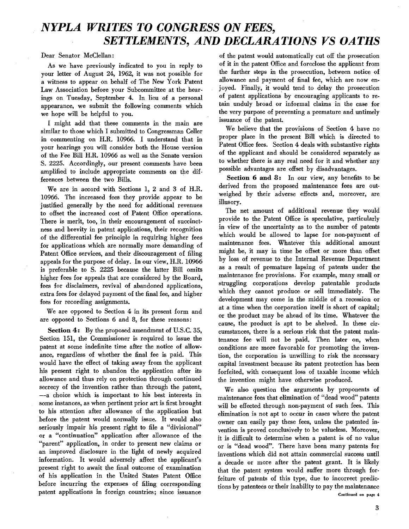# *NYPLA WRITES TO CONGRESS ON FEES, SETTLEMENTS, AND DECLARATIONS VS OATHS*

Dear Senator McClellan:

As we have previously indicated to you in reply to your letter of August 24, 1962, it was not possible for a witness to appear on behalf of The New York Patent Law Association before your Subcommittee at the hearings on Tuesday, September 4. In lieu of a personal appearance, we submit the following comments which we hope will be helpful to you.

I might add that these comments in the main are similar to those which I submitted to Congressman Celler in commenting on H.R. 10966. I understand that in your hearings you will consider both the House version of the Fee Bill H.R. 10966 as well as the Senate version S. 2225. Accordingly, our present comments have been amplified to include appropriate comments on the differences between the two Bills. .

We are in accord with Sections 1, 2 and 3 of H.R. 10966. The increased fees they provide appear to be justified generally by the need for additional revenues to offset the increased cost of Patent Office operations. There is merit, too, in their encouragement of succinct· ness and brevity in patent applications, their recognition of the differential fee principle in requiring higher fees for applications which are normally more demanding of Patent Office services, and their discouragement of filing appeals for the purpose of delay. In our view, H.R. 10966 is preferable to S. 2225 because the latter Bill omits higher fees for appeals that are considered by the Board. fees for disclaimers, revival of abandoned applications, extra fees for delayed payment of the final fee, and higher fees for recording assignments.

We are opposed to Section 4 in its present form and are opposed to Sections 6 and 8, for these reasons:

Section 4: By the proposed amendment of U.S.C. 35, Section 151, the Commissioner is required to issue the patent at some indefinite time after the notice of allow· ance, regardless of whether the final fee is paid. This would have the effect of taking away from the applicant his present right to abandon the application after its allowance and thus rely on protection through continued secrecy of the invention rather than through the patent, -a choice which is important to his best interests in some instances, as when pertinent prior art is first brought to his attention after allowance of the application but before the patent would normally issue. It would also seriously impair his present right to file a "divisional" or a "continuation" application after allowance of the "parent" application, in order to present new claims or an improved disclosure in the light of newly acquired information. It would adversely affect the applicant's present right to await the final outcome of examination of his application in the United States Patent Office before incurring the expenses of filing corresponding patent applications in foreign countries; since issuance

of the patent would automatically cut off the prosecution of it in the patent Office and foreclose the applicant from the further steps in the prosecution, between notice of allowance and payment of final fee, which are now en· joyed. Finally, it would tend to delay the prosecution of patent applications by encouraging applicants to retain unduly broad or informal claims in the case for the very purpose of preventing a premature and untimely issuance of the patent.

We believe that the provisions of Section 4 have no proper place in the present Bill which is directed to Patent Office fees. Section 4 deals with substantive rights of the applicant and should be considered separately as to whether there is any real need for it and whether any possible advantages are offset by disadvantages.

Section 6 and 8: In our view, any benefits to be derived from the proposed maintenance fees are outweighed by their adverse effects and, moreover, are illusory.

The net amount of additional revenue they would provide to the Patent Office is speculative, particularly in view of the uncertainty as to the number of patents which would be allowed to lapse for non-payment of maintenance fees. Whatever this additional amount might be, it may in time be offset or more than offset by loss of revenue to the Internal Revenue Department as a result of premature lapsing of patents under the maintenance fee provisions. For example, many small or struggling corporations develop patentable products which they cannot produce or sell immediately. The development may come in the middle of a recession or at a time when the corporation itself is short of capital; or the product may be ahead of its time. Whatever the cause, the product is apt to be shelved. In these circumstances, there is a serious risk that the patent maintenance fee will not be paid. Then later on, when conditions are more favorable for promoting the inven· tion, the corporation is unwilling to risk the necessary capital investment because its patent protection has been forfeited, with consequent loss of taxable income which the invention might have otherwise produced.

We also question the arguments by proponents of maintenance fees that elimination of "dead wood" patents will be effected through non·payment of such fees. This elimination is not apt to occur in cases where the patent owner can easily pay these fees, unless the patented in· vention is proved conclusively to be valueless. Moreover, it is difficult to determine when a patent is of no value or is "dead wood". There have been many patents for inventions which did not attain commercial success until a decade or more after the patent grant. It is likely that the patent system would suffer more through forfeiture of patents of this type, due to incorrect predictions by patentees or their inability to pay the maintenance Continued on page 4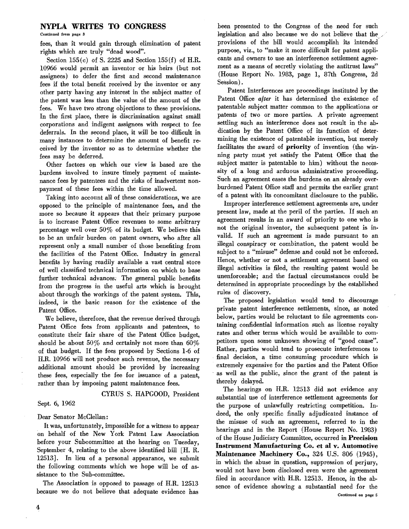#### NYPLA WRITES TO CONGRESS

Continued from page 3

fees, than it would gain through elimination of patent rights which are truly "dead wood".

Section  $155(c)$  of S. 2225 and Section  $155(f)$  of H.R. 10966 would permit an inventor or his heirs (but not assignees) to defer the first and second maintenance fees if the total benefit received by the inventor or any other party having any interest in the subject matter of the patent was less than the value of the amount of the fees. We have two strong objections to these provisions. In the first place, there is discrimination against small ?orporations and indigent assignees with respect to fee deferrals. In the second place, it will be too difficult in many instances to determine the amount of benefit received by the inventor so as to determine whether the fees may be deferred.

Other factors on which our view is based are the burdens involved to insure timely payment of maintenance fees by patentees and the risks of inadvertent nonpayment of these fees within the time allowed.

Taking into account all of these considerations, we are opposed to the principle of maintenance fees, and the more so because it appears that their primary purpose is to increase Patent Office revenues to some arbitrary percentage well over 50% of its budget. We believe this to be an unfair burden on patent owners, who after all represent only a small number of those benefiting from the facilities of the Patent Office. Industry in general benefits by having readily available a vast central store of well classified technical information on which to base further technical advances; The general public benefits from the progress in the useful arts which is brought about through the workings of the patent system. This, indeed, is the basic reason for the existence of the Patent Office.

We believe, therefore, that the revenue derived through Patent Office fees from applicants and patentees, to constitute their fair share of the Patent Office budget, should be about  $50\%$  and certainly not more than  $60\%$ of that budget. If the fees proposed by Sections 1·6 of H.R. 10966 will not produce such revenue, the necessary additional amount should be provided by increasing these fees, especially the fee for issuance of a patent, rather than by imposing patent maintenance fees.

CYRUS S. HAPGOOD, President

#### Sept. 6, 1962

#### Dear Senator McClellan:

It was, unfortunately, impossible for a witness to appear on behalf of the New York Patent Law Association before your Subcommittee at the hearing on Tuesday, September 4, relating to the above identified bill [H. R. 12513J. In lieu of a personal appearance, we submit the following comments which we hope will be of assistance to the Sub-committee.

The Association is opposed to passage of H.R. 12513 because we do not believe that adequate evidence has been presented to the Congress of the need for such legislation and also because we do not believe that the provisions of the bill would accomplish its intendel purpose, viz., to "make it more difficult for patent applicants and owners to use an interference settlement agreement as a means of secretly violating the antitrust laws" (House Report No. 1983, page 1, 87th Congress, 2d Session).

Patent Interferences are proceedings instituted by the Patent Office *alter* it has determined the existence of patentable subject matter common to the applications or patents of two or more parties. A private agreement settling such an interference does not result in the ab· dication by the Patent Office of its function of deter· mining the existence of patentable invention, but merely facilitates the award of priority of invention (the winning party must yet satisfy the Patent Office that the subject matter is patentable to him) without the neces· sity of a long and arduous administrative proceeding. Such an agreement eases the burdens on an already over burdened Patent Office staff and permits the earlier grant of a patent with its concomitant disclosure to the public.

Improper interference settlement agreements are, under present law, made at the peril of the parties. If such an agreement results in an award of priority to one who is not the original inventor, the subsequent patent is in· valid. If such an agreement is made pursuant to an illegal conspiracy or combination, the patent would be subject to a "misuse" defense and could not be enforced. Hence, whether or not a settlement agreement based on illegal activities is filed, the resulting patent would be unenforceable; and the factual circumstances could be determined in appropriate proceedings by the established rules of discovery.

The proposed legislation would tend to discourage private patent interference settlements, since, as noted below, parties would be reluctant to file agreements con· taining confidential information such as license royalty rates and other terms which would be available to com· petitors upon some unknown showing of "good cause". Rather, parties would tend to prosecute interferences to final decision, a time consuming procedure which is extremely expensive for the parties and the Patent Office . as well as the public, since the grant of the patent is thereby delayed.

The hearings on H.R. 12513 did not evidence any substantial use of interference settlement agreements for the purpose of unlawfully restricting competition. In deed, the only specific finally adjudicated instance of the misuse of such an agreement, referred to in the hearings and in the Report (House Report No. 1983) of the House Judiciary Committee, occurred in Precision Instrument Mannfacturing Co. et al v. Automotive Maintenance Machinery Co., 324 U.S. 806 (1945), in which the abuse in question, suppression of perjury, would not have been disclosed even were the agreement filed in accordance with H.R. 12513. Hence, in the ab· sence of evidence showing a substantial need for the Continued on page 5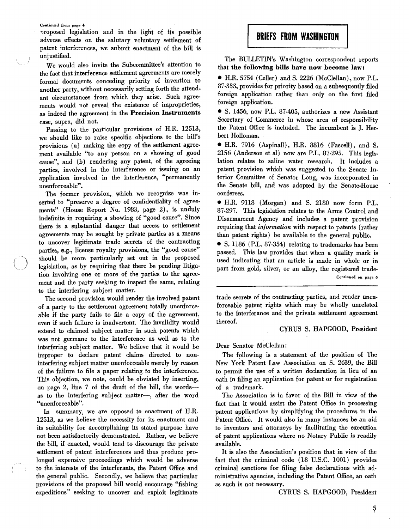Continued from page 4

'lroposed legislation and in the light of its possible adverse effects on the salutary voluntary settlement of patent interferences, we submit enactment of the bill is unjustified.

We would also invite the Subcommittee's attention to the fact that interference settlement agreements are merely formal documents conceding priority of invention to another party, without necessarily setting forth the attend. ant circumstances from which they arise. Such agree· ments would not reveal the existence of improprieties, as indeed the agreement in the Precision Instruments case, supra, did not.

Passing to the particular provisions of H.R. 12513, we should like to raise specific objections to the bill's provisions (a) making the copy of the settlement agree· ment available "to any person on a showing of good cause", and (b) rendering any patent, of the agreeing parties, involved in the interference or issuing on an application involved in the interference, "permanently unenforceable".

The former provision, which we recognize was in· serted to "preserve a degree of confidentiality of agree· ments" (House Report No. 1983, page 2), is unduly indefinite in requiring a showing of "good cause". Since there is a substantial danger that access to settlement agreements may be sought by private parties as a means to uncover legitimate trade secrets of the contracting parties, e.g., license royalty provisions, the "good cause" should be more particularly set out in the proposed legislation, as by requiring that there be pending litiga. tion involving one or more of the parties to the agree· ment and the party seeking to inspect the same, relating to the interfering subject matter.

The second provision would render the involved patent of. a party to the settlement agreement totally unenforceable if the party fails to file a copy of the agreement, even if such failure is inadvertent. The invalidity would extend to claimed subject matter in such patents which was not germane to the interference as well as to the interfering subject matter. We believe that it would be improper to declare patent claims directed to noninterfering subject matter unenforceable merely by reason of the failure to file a paper relating, to the interference. This objection, we note, could be obviated by inserting, on page 2, line 7 of the draft of the bill, the wordsas to the interfering subject matter-, after the word "unenforceable".

In summary, we are opposed to enactment of H.R. 12513, as we believe the necessity for its enactment and its suitability for accomplishing its stated purpose have not been satisfactorily demonstrated. Rather, we believe the bill, if enacted, would tend to discourage the private settlement of patent interferences and thus produce prolonged expensive proceedings which would be adverse to the interests of the interferants, the Patent Office and the general public. Secondly, we believe that particular provisions of the proposed bill would encourage "fishing expeditions" seeking to uncover and exploit legitimate

# **BRIEFS FROM WASHINGTON**

The BULLETIN's Washington correspondent reports that the following bills have now become law:

• H.R. 5754 (Celler) and S. 2226 (McClellan), now P.L. 87·333, provides for priority based on a subsequently filed foreign application rather than only on the first filed foreign application.

• S. 1456, now P.L. 87·405, authorizes a new Assistant Secretary of Commerce in whose area of responsibility the Patent Office is included. The incumbent is J. Herbert Holloman.

• H.R. 7916 (Aspinall), H.R. 8816 (Fascell), and S. 2156 (Anderson et al) now are P.L. 87·295. This legis. lation relates to saline water research. It includes a patent provision which was suggested to the Senate Interior Committee of Senator Long, was incorporated in the Senate bill, and was adopted by the Senate-House conferees. .

• H.R. 9118 (Morgan) and S. 2180 now form P.L. 87·297. This legislation relates to the Arms Control and Disarmament Agency and includes a patent provision requiring that *information* with respect to patents (rather than patent rights) be available to the general public.

• S. 1186 (P.L. 87·354) relating to trademarks has been passed. This law provides that when a quality mark is used indicating that an article is made in whole or in part from gold, silver, or an alloy, the registered trade \_Continued **on** page 6

trade secrets of the contracting parties, and render unenforceable patent rights which may be wholly unrelated to the interferance and the private settlement agreement thereof.

CYRUS S. HAPGOOD, President

Dear Senator McClellan:

The following is a statement of the position of The New York Patent Law Association on S. 2639, the Bill to permit the use of a written declaration in lieu of an oath in filing an application for patent or for registration of a trademark.

The Association is in favor of the Bill in view of the fact that it would assist the Patent Office in processing patent applications by simplifying the procedures in the Patent Office. It would also in many instances be an aid to inventors and attorneys by facilitating the execution of patent applications where no Notary Public is readily available.

It is also the Association's position that in view of the fact that the criminal code (18 U.S.C. 1001) provides criminal sanctions for filing false declarations with administrative agencies, including the Patent Office, an oath as such is not necessary.

CYRUS S. HAPGOOD, President